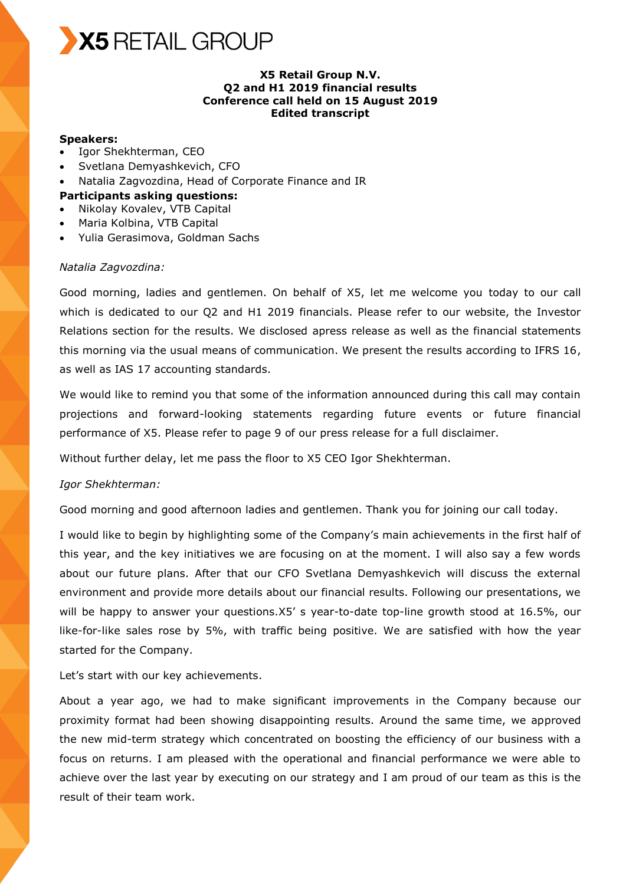

## **X5 Retail Group N.V. Q2 and H1 2019 financial results Conference call held on 15 August 2019 Edited transcript**

## **Speakers:**

- Igor Shekhterman, CEO
- Svetlana Demyashkevich, CFO
- Natalia Zagvozdina, Head of Corporate Finance and IR

#### **Participants asking questions:**

- Nikolay Kovalev, VTB Capital
- Maria Kolbina, VTB Capital
- Yulia Gerasimova, Goldman Sachs

#### *Natalia Zagvozdina:*

Good morning, ladies and gentlemen. On behalf of X5, let me welcome you today to our call which is dedicated to our Q2 and H1 2019 financials. Please refer to our website, the Investor Relations section for the results. We disclosed apress release as well as the financial statements this morning via the usual means of communication. We present the results according to IFRS 16, as well as IAS 17 accounting standards.

We would like to remind you that some of the information announced during this call may contain projections and forward-looking statements regarding future events or future financial performance of X5. Please refer to page 9 of our press release for a full disclaimer.

Without further delay, let me pass the floor to X5 CEO Igor Shekhterman.

#### *Igor Shekhterman:*

Good morning and good afternoon ladies and gentlemen. Thank you for joining our call today.

I would like to begin by highlighting some of the Company's main achievements in the first half of this year, and the key initiatives we are focusing on at the moment. I will also say a few words about our future plans. After that our CFO Svetlana Demyashkevich will discuss the external environment and provide more details about our financial results. Following our presentations, we will be happy to answer your questions.X5' s year-to-date top-line growth stood at 16.5%, our like-for-like sales rose by 5%, with traffic being positive. We are satisfied with how the year started for the Company.

Let's start with our key achievements.

About a year ago, we had to make significant improvements in the Company because our proximity format had been showing disappointing results. Around the same time, we approved the new mid-term strategy which concentrated on boosting the efficiency of our business with a focus on returns. I am pleased with the operational and financial performance we were able to achieve over the last year by executing on our strategy and I am proud of our team as this is the result of their team work.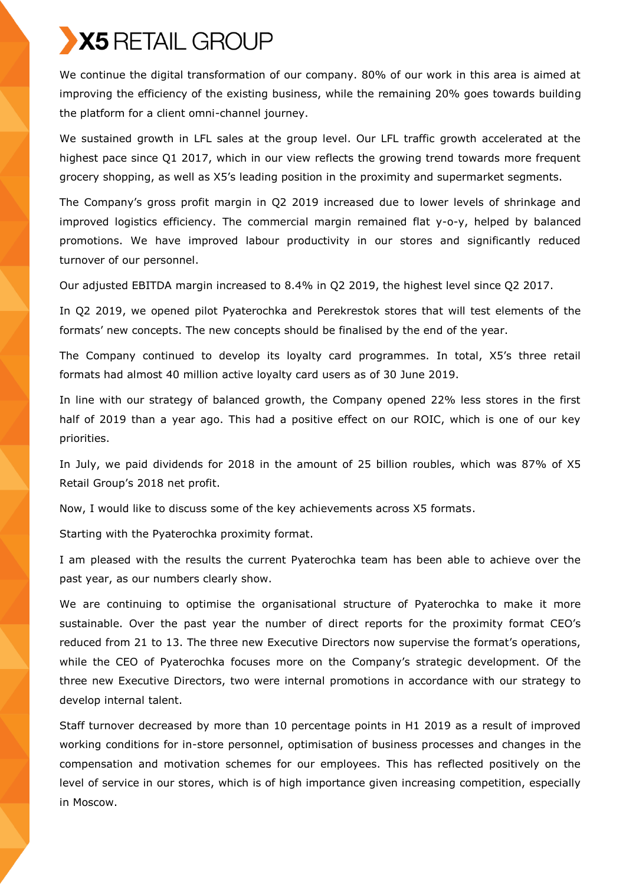We continue the digital transformation of our company. 80% of our work in this area is aimed at improving the efficiency of the existing business, while the remaining 20% goes towards building the platform for a client omni-channel journey.

We sustained growth in LFL sales at the group level. Our LFL traffic growth accelerated at the highest pace since Q1 2017, which in our view reflects the growing trend towards more frequent grocery shopping, as well as X5's leading position in the proximity and supermarket segments.

The Company's gross profit margin in Q2 2019 increased due to lower levels of shrinkage and improved logistics efficiency. The commercial margin remained flat y-o-y, helped by balanced promotions. We have improved labour productivity in our stores and significantly reduced turnover of our personnel.

Our adjusted EBITDA margin increased to 8.4% in Q2 2019, the highest level since Q2 2017.

In Q2 2019, we opened pilot Pyaterochka and Perekrestok stores that will test elements of the formats' new concepts. The new concepts should be finalised by the end of the year.

The Company continued to develop its loyalty card programmes. In total, X5's three retail formats had almost 40 million active loyalty card users as of 30 June 2019.

In line with our strategy of balanced growth, the Company opened 22% less stores in the first half of 2019 than a year ago. This had a positive effect on our ROIC, which is one of our key priorities.

In July, we paid dividends for 2018 in the amount of 25 billion roubles, which was 87% of X5 Retail Group's 2018 net profit.

Now, I would like to discuss some of the key achievements across X5 formats.

Starting with the Pyaterochka proximity format.

I am pleased with the results the current Pyaterochka team has been able to achieve over the past year, as our numbers clearly show.

We are continuing to optimise the organisational structure of Pyaterochka to make it more sustainable. Over the past year the number of direct reports for the proximity format CEO's reduced from 21 to 13. The three new Executive Directors now supervise the format's operations, while the CEO of Pyaterochka focuses more on the Company's strategic development. Of the three new Executive Directors, two were internal promotions in accordance with our strategy to develop internal talent.

Staff turnover decreased by more than 10 percentage points in H1 2019 as a result of improved working conditions for in-store personnel, optimisation of business processes and changes in the compensation and motivation schemes for our employees. This has reflected positively on the level of service in our stores, which is of high importance given increasing competition, especially in Moscow.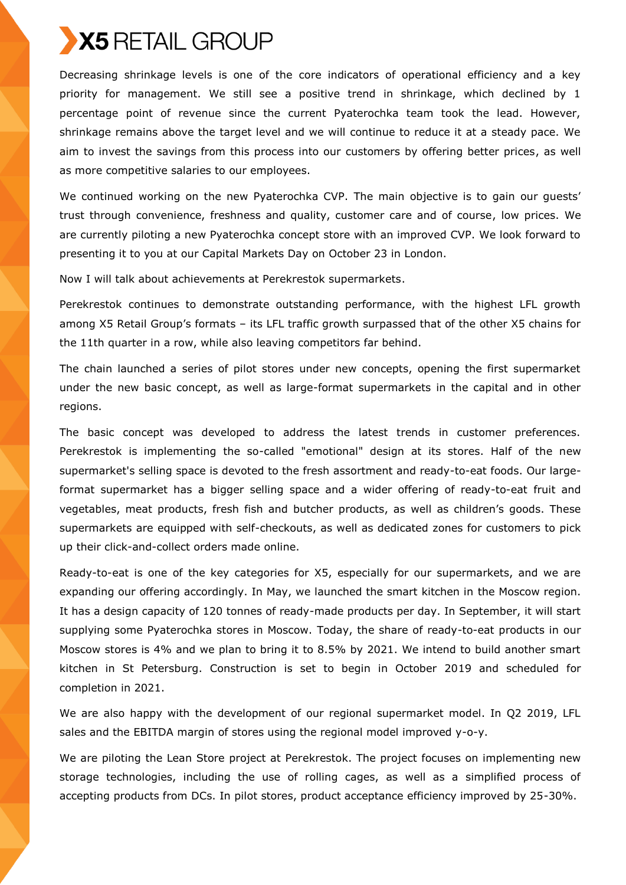Decreasing shrinkage levels is one of the core indicators of operational efficiency and a key priority for management. We still see a positive trend in shrinkage, which declined by 1 percentage point of revenue since the current Pyaterochka team took the lead. However, shrinkage remains above the target level and we will continue to reduce it at a steady pace. We aim to invest the savings from this process into our customers by offering better prices, as well as more competitive salaries to our employees.

We continued working on the new Pyaterochka CVP. The main objective is to gain our guests' trust through convenience, freshness and quality, customer care and of course, low prices. We are currently piloting a new Pyaterochka concept store with an improved CVP. We look forward to presenting it to you at our Capital Markets Day on October 23 in London.

Now I will talk about achievements at Perekrestok supermarkets.

Perekrestok continues to demonstrate outstanding performance, with the highest LFL growth among X5 Retail Group's formats – its LFL traffic growth surpassed that of the other X5 chains for the 11th quarter in a row, while also leaving competitors far behind.

The chain launched a series of pilot stores under new concepts, opening the first supermarket under the new basic concept, as well as large-format supermarkets in the capital and in other regions.

The basic concept was developed to address the latest trends in customer preferences. Perekrestok is implementing the so-called "emotional" design at its stores. Half of the new supermarket's selling space is devoted to the fresh assortment and ready-to-eat foods. Our largeformat supermarket has a bigger selling space and a wider offering of ready-to-eat fruit and vegetables, meat products, fresh fish and butcher products, as well as children's goods. These supermarkets are equipped with self-checkouts, as well as dedicated zones for customers to pick up their click-and-collect orders made online.

Ready-to-eat is one of the key categories for Х5, especially for our supermarkets, and we are expanding our offering accordingly. In May, we launched the smart kitchen in the Moscow region. It has a design capacity of 120 tonnes of ready-made products per day. In September, it will start supplying some Pyaterochka stores in Moscow. Today, the share of ready-to-eat products in our Moscow stores is 4% and we plan to bring it to 8.5% by 2021. We intend to build another smart kitchen in St Petersburg. Construction is set to begin in October 2019 and scheduled for completion in 2021.

We are also happy with the development of our regional supermarket model. In Q2 2019, LFL sales and the EBITDA margin of stores using the regional model improved y-o-y.

We are piloting the Lean Store project at Perekrestok. The project focuses on implementing new storage technologies, including the use of rolling cages, as well as a simplified process of accepting products from DCs. In pilot stores, product acceptance efficiency improved by 25-30%.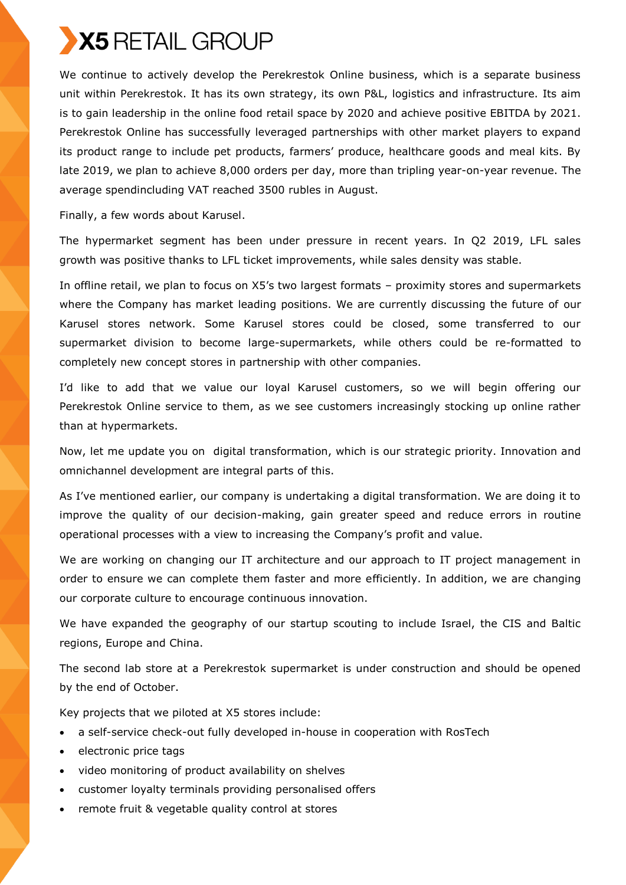We continue to actively develop the Perekrestok Online business, which is a separate business unit within Perekrestok. It has its own strategy, its own P&L, logistics and infrastructure. Its aim is to gain leadership in the online food retail space by 2020 and achieve positive EBITDA by 2021. Perekrestok Online has successfully leveraged partnerships with other market players to expand its product range to include pet products, farmers' produce, healthcare goods and meal kits. By late 2019, we plan to achieve 8,000 orders per day, more than tripling year-on-year revenue. The average spendincluding VAT reached 3500 rubles in August.

Finally, a few words about Karusel.

The hypermarket segment has been under pressure in recent years. In Q2 2019, LFL sales growth was positive thanks to LFL ticket improvements, while sales density was stable.

In offline retail, we plan to focus on X5's two largest formats – proximity stores and supermarkets where the Company has market leading positions. We are currently discussing the future of our Karusel stores network. Some Karusel stores could be closed, some transferred to our supermarket division to become large-supermarkets, while others could be re-formatted to completely new concept stores in partnership with other companies.

I'd like to add that we value our loyal Karusel customers, so we will begin offering our Perekrestok Online service to them, as we see customers increasingly stocking up online rather than at hypermarkets.

Now, let me update you on digital transformation, which is our strategic priority. Innovation and omnichannel development are integral parts of this.

As I've mentioned earlier, our company is undertaking a digital transformation. We are doing it to improve the quality of our decision-making, gain greater speed and reduce errors in routine operational processes with a view to increasing the Company's profit and value.

We are working on changing our IT architecture and our approach to IT project management in order to ensure we can complete them faster and more efficiently. In addition, we are changing our corporate culture to encourage continuous innovation.

We have expanded the geography of our startup scouting to include Israel, the CIS and Baltic regions, Europe and China.

The second lab store at a Perekrestok supermarket is under construction and should be opened by the end of October.

Key projects that we piloted at X5 stores include:

- a self-service check-out fully developed in-house in cooperation with RosTech
- electronic price tags
- video monitoring of product availability on shelves
- customer loyalty terminals providing personalised offers
- remote fruit & vegetable quality control at stores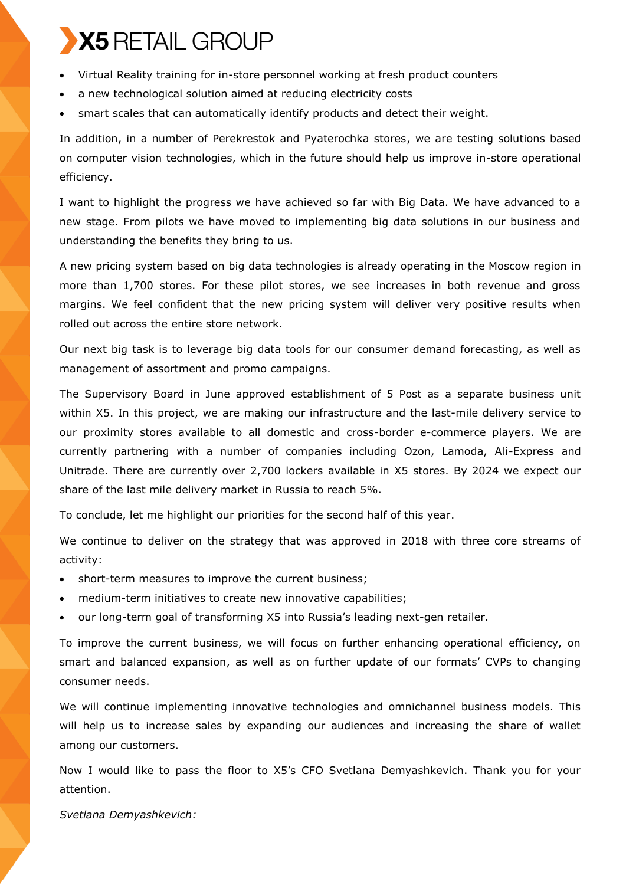- Virtual Reality training for in-store personnel working at fresh product counters
- a new technological solution aimed at reducing electricity costs
- smart scales that can automatically identify products and detect their weight.

In addition, in a number of Perekrestok and Pyaterochka stores, we are testing solutions based on computer vision technologies, which in the future should help us improve in-store operational efficiency.

I want to highlight the progress we have achieved so far with Big Data. We have advanced to a new stage. From pilots we have moved to implementing big data solutions in our business and understanding the benefits they bring to us.

A new pricing system based on big data technologies is already operating in the Moscow region in more than 1,700 stores. For these pilot stores, we see increases in both revenue and gross margins. We feel confident that the new pricing system will deliver very positive results when rolled out across the entire store network.

Our next big task is to leverage big data tools for our consumer demand forecasting, as well as management of assortment and promo campaigns.

The Supervisory Board in June approved establishment of 5 Post as a separate business unit within X5. In this project, we are making our infrastructure and the last-mile delivery service to our proximity stores available to all domestic and cross-border e-commerce players. We are currently partnering with a number of companies including Ozon, Lamoda, Ali-Express and Unitrade. There are currently over 2,700 lockers available in X5 stores. By 2024 we expect our share of the last mile delivery market in Russia to reach 5%.

To conclude, let me highlight our priorities for the second half of this year.

We continue to deliver on the strategy that was approved in 2018 with three core streams of activity:

- short-term measures to improve the current business;
- medium-term initiatives to create new innovative capabilities;
- our long-term goal of transforming X5 into Russia's leading next-gen retailer.

To improve the current business, we will focus on further enhancing operational efficiency, on smart and balanced expansion, as well as on further update of our formats' CVPs to changing consumer needs.

We will continue implementing innovative technologies and omnichannel business models. This will help us to increase sales by expanding our audiences and increasing the share of wallet among our customers.

Now I would like to pass the floor to X5's CFO Svetlana Demyashkevich. Thank you for your attention.

*Svetlana Demyashkevich:*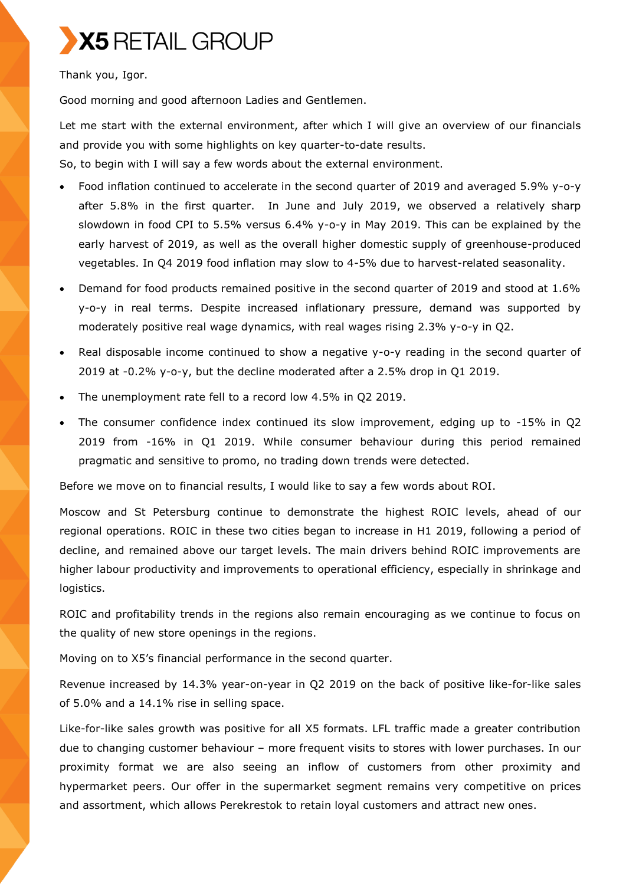

Thank you, Igor.

Good morning and good afternoon Ladies and Gentlemen.

Let me start with the external environment, after which I will give an overview of our financials and provide you with some highlights on key quarter-to-date results.

So, to begin with I will say a few words about the external environment.

- Food inflation continued to accelerate in the second quarter of 2019 and averaged 5.9% y-o-y after 5.8% in the first quarter. In June and July 2019, we observed a relatively sharp slowdown in food CPI to 5.5% versus 6.4% y-o-y in May 2019. This can be explained by the early harvest of 2019, as well as the overall higher domestic supply of greenhouse-produced vegetables. In Q4 2019 food inflation may slow to 4-5% due to harvest-related seasonality.
- Demand for food products remained positive in the second quarter of 2019 and stood at 1.6% y-o-y in real terms. Despite increased inflationary pressure, demand was supported by moderately positive real wage dynamics, with real wages rising 2.3% y-o-y in Q2.
- Real disposable income continued to show a negative y-o-y reading in the second quarter of 2019 at -0.2% y-o-y, but the decline moderated after a 2.5% drop in Q1 2019.
- The unemployment rate fell to a record low 4.5% in Q2 2019.
- The consumer confidence index continued its slow improvement, edging up to -15% in Q2 2019 from -16% in Q1 2019. While consumer behaviour during this period remained pragmatic and sensitive to promo, no trading down trends were detected.

Before we move on to financial results, I would like to say a few words about ROI.

Moscow and St Petersburg continue to demonstrate the highest ROIC levels, ahead of our regional operations. ROIC in these two cities began to increase in H1 2019, following a period of decline, and remained above our target levels. The main drivers behind ROIC improvements are higher labour productivity and improvements to operational efficiency, especially in shrinkage and logistics.

ROIC and profitability trends in the regions also remain encouraging as we continue to focus on the quality of new store openings in the regions.

Moving on to X5's financial performance in the second quarter.

Revenue increased by 14.3% year-on-year in Q2 2019 on the back of positive like-for-like sales of 5.0% and a 14.1% rise in selling space.

Like-for-like sales growth was positive for all X5 formats. LFL traffic made a greater contribution due to changing customer behaviour – more frequent visits to stores with lower purchases. In our proximity format we are also seeing an inflow of customers from other proximity and hypermarket peers. Our offer in the supermarket segment remains very competitive on prices and assortment, which allows Perekrestok to retain loyal customers and attract new ones.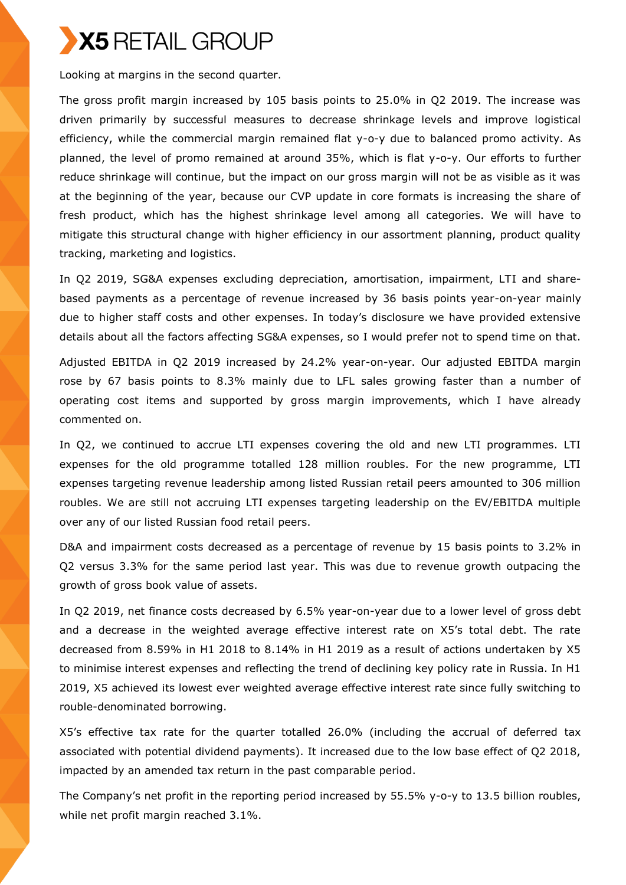

Looking at margins in the second quarter.

The gross profit margin increased by 105 basis points to 25.0% in Q2 2019. The increase was driven primarily by successful measures to decrease shrinkage levels and improve logistical efficiency, while the commercial margin remained flat y-o-y due to balanced promo activity. As planned, the level of promo remained at around 35%, which is flat y-o-y. Our efforts to further reduce shrinkage will continue, but the impact on our gross margin will not be as visible as it was at the beginning of the year, because our CVP update in core formats is increasing the share of fresh product, which has the highest shrinkage level among all categories. We will have to mitigate this structural change with higher efficiency in our assortment planning, product quality tracking, marketing and logistics.

In Q2 2019, SG&A expenses excluding depreciation, amortisation, impairment, LTI and sharebased payments as a percentage of revenue increased by 36 basis points year-on-year mainly due to higher staff costs and other expenses. In today's disclosure we have provided extensive details about all the factors affecting SG&A expenses, so I would prefer not to spend time on that.

Adjusted EBITDA in Q2 2019 increased by 24.2% year-on-year. Our adjusted EBITDA margin rose by 67 basis points to 8.3% mainly due to LFL sales growing faster than a number of operating cost items and supported by gross margin improvements, which I have already commented on.

In Q2, we continued to accrue LTI expenses covering the old and new LTI programmes. LTI expenses for the old programme totalled 128 million roubles. For the new programme, LTI expenses targeting revenue leadership among listed Russian retail peers amounted to 306 million roubles. We are still not accruing LTI expenses targeting leadership on the EV/EBITDA multiple over any of our listed Russian food retail peers.

D&A and impairment costs decreased as a percentage of revenue by 15 basis points to 3.2% in Q2 versus 3.3% for the same period last year. This was due to revenue growth outpacing the growth of gross book value of assets.

In Q2 2019, net finance costs decreased by 6.5% year-on-year due to a lower level of gross debt and a decrease in the weighted average effective interest rate on X5's total debt. The rate decreased from 8.59% in H1 2018 to 8.14% in H1 2019 as a result of actions undertaken by X5 to minimise interest expenses and reflecting the trend of declining key policy rate in Russia. In H1 2019, X5 achieved its lowest ever weighted average effective interest rate since fully switching to rouble-denominated borrowing.

X5's effective tax rate for the quarter totalled 26.0% (including the accrual of deferred tax associated with potential dividend payments). It increased due to the low base effect of Q2 2018, impacted by an amended tax return in the past comparable period.

The Company's net profit in the reporting period increased by 55.5% y-o-y to 13.5 billion roubles, while net profit margin reached 3.1%.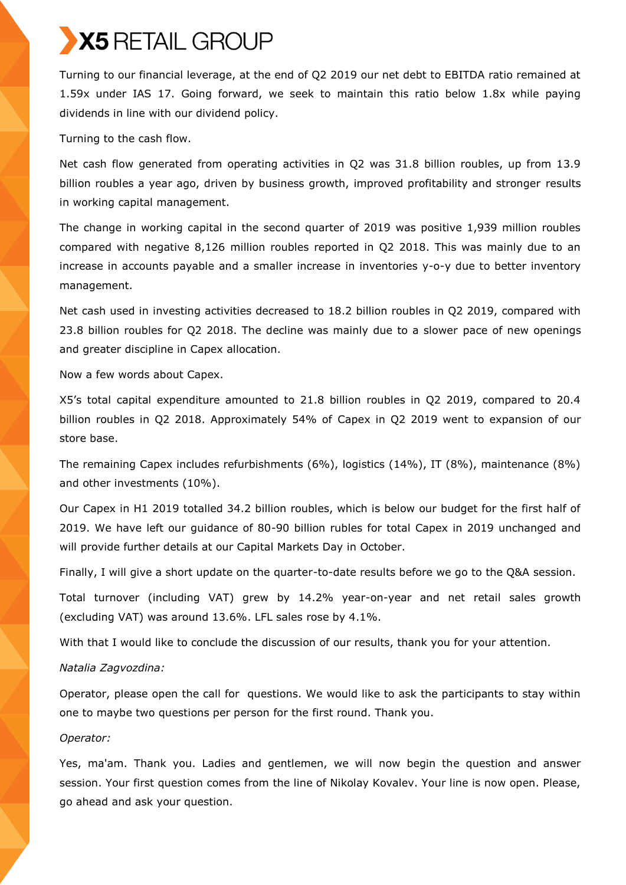

Turning to our financial leverage, at the end of Q2 2019 our net debt to EBITDA ratio remained at 1.59x under IAS 17. Going forward, we seek to maintain this ratio below 1.8x while paying dividends in line with our dividend policy.

Turning to the cash flow.

Net cash flow generated from operating activities in Q2 was 31.8 billion roubles, up from 13.9 billion roubles a year ago, driven by business growth, improved profitability and stronger results in working capital management.

The change in working capital in the second quarter of 2019 was positive 1,939 million roubles compared with negative 8,126 million roubles reported in Q2 2018. This was mainly due to an increase in accounts payable and a smaller increase in inventories y-o-y due to better inventory management.

Net cash used in investing activities decreased to 18.2 billion roubles in Q2 2019, compared with 23.8 billion roubles for Q2 2018. The decline was mainly due to a slower pace of new openings and greater discipline in Capex allocation.

Now a few words about Capex.

X5's total capital expenditure amounted to 21.8 billion roubles in Q2 2019, compared to 20.4 billion roubles in Q2 2018. Approximately 54% of Capex in Q2 2019 went to expansion of our store base.

The remaining Capex includes refurbishments (6%), logistics (14%), IT (8%), maintenance (8%) and other investments (10%).

Our Capex in H1 2019 totalled 34.2 billion roubles, which is below our budget for the first half of 2019. We have left our guidance of 80-90 billion rubles for total Capex in 2019 unchanged and will provide further details at our Capital Markets Day in October.

Finally, I will give a short update on the quarter-to-date results before we go to the Q&A session.

Total turnover (including VAT) grew by 14.2% year-on-year and net retail sales growth (excluding VAT) was around 13.6%. LFL sales rose by 4.1%.

With that I would like to conclude the discussion of our results, thank you for your attention.

## *Natalia Zagvozdina:*

Operator, please open the call for questions. We would like to ask the participants to stay within one to maybe two questions per person for the first round. Thank you.

## *Operator:*

Yes, ma'am. Thank you. Ladies and gentlemen, we will now begin the question and answer session. Your first question comes from the line of Nikolay Kovalev. Your line is now open. Please, go ahead and ask your question.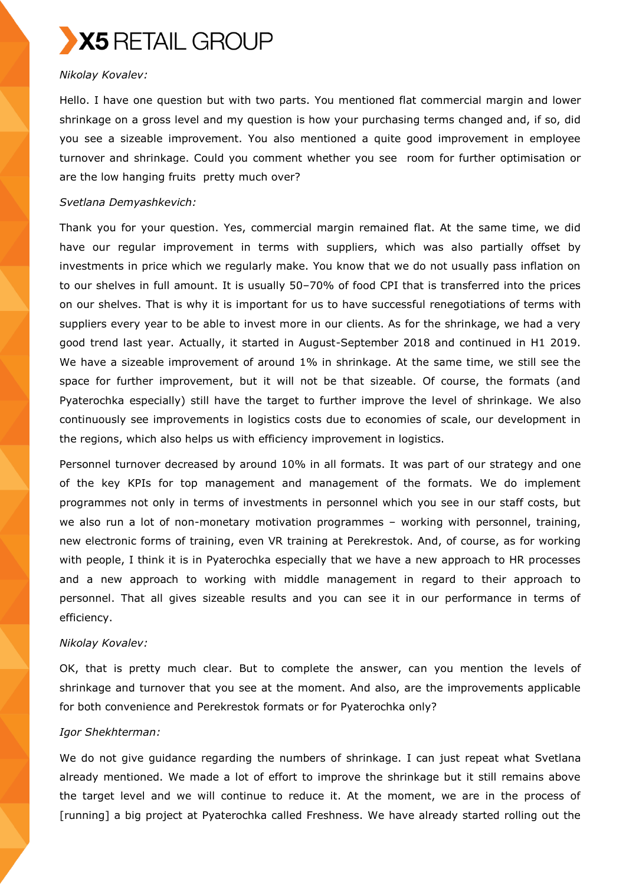

## *Nikolay Kovalev:*

Hello. I have one question but with two parts. You mentioned flat commercial margin and lower shrinkage on a gross level and my question is how your purchasing terms changed and, if so, did you see a sizeable improvement. You also mentioned a quite good improvement in employee turnover and shrinkage. Could you comment whether you see room for further optimisation or are the low hanging fruits pretty much over?

#### *Svetlana Demyashkevich:*

Thank you for your question. Yes, commercial margin remained flat. At the same time, we did have our regular improvement in terms with suppliers, which was also partially offset by investments in price which we regularly make. You know that we do not usually pass inflation on to our shelves in full amount. It is usually 50–70% of food CPI that is transferred into the prices on our shelves. That is why it is important for us to have successful renegotiations of terms with suppliers every year to be able to invest more in our clients. As for the shrinkage, we had a very good trend last year. Actually, it started in August-September 2018 and continued in H1 2019. We have a sizeable improvement of around 1% in shrinkage. At the same time, we still see the space for further improvement, but it will not be that sizeable. Of course, the formats (and Pyaterochka especially) still have the target to further improve the level of shrinkage. We also continuously see improvements in logistics costs due to economies of scale, our development in the regions, which also helps us with efficiency improvement in logistics.

Personnel turnover decreased by around 10% in all formats. It was part of our strategy and one of the key KPIs for top management and management of the formats. We do implement programmes not only in terms of investments in personnel which you see in our staff costs, but we also run a lot of non-monetary motivation programmes – working with personnel, training, new electronic forms of training, even VR training at Perekrestok. And, of course, as for working with people, I think it is in Pyaterochka especially that we have a new approach to HR processes and a new approach to working with middle management in regard to their approach to personnel. That all gives sizeable results and you can see it in our performance in terms of efficiency.

## *Nikolay Kovalev:*

OK, that is pretty much clear. But to complete the answer, can you mention the levels of shrinkage and turnover that you see at the moment. And also, are the improvements applicable for both convenience and Perekrestok formats or for Pyaterochka only?

## *Igor Shekhterman:*

We do not give guidance regarding the numbers of shrinkage. I can just repeat what Svetlana already mentioned. We made a lot of effort to improve the shrinkage but it still remains above the target level and we will continue to reduce it. At the moment, we are in the process of [running] a big project at Pyaterochka called Freshness. We have already started rolling out the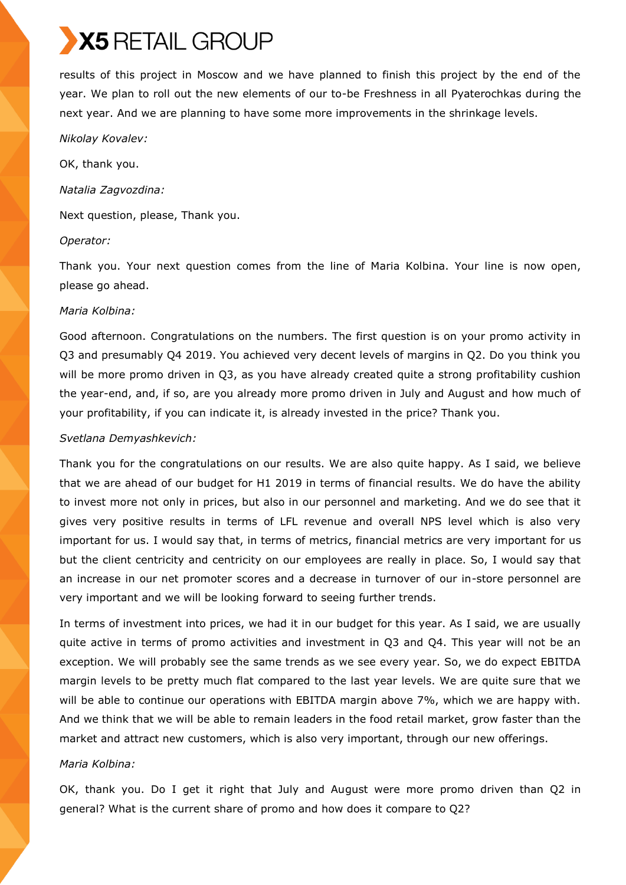results of this project in Moscow and we have planned to finish this project by the end of the year. We plan to roll out the new elements of our to-be Freshness in all Pyaterochkas during the next year. And we are planning to have some more improvements in the shrinkage levels.

*Nikolay Kovalev:*

OK, thank you.

*Natalia Zagvozdina:*

Next question, please, Thank you.

#### *Operator:*

Thank you. Your next question comes from the line of Maria Kolbina. Your line is now open, please go ahead.

#### *Maria Kolbina:*

Good afternoon. Congratulations on the numbers. The first question is on your promo activity in Q3 and presumably Q4 2019. You achieved very decent levels of margins in Q2. Do you think you will be more promo driven in Q3, as you have already created quite a strong profitability cushion the year-end, and, if so, are you already more promo driven in July and August and how much of your profitability, if you can indicate it, is already invested in the price? Thank you.

#### *Svetlana Demyashkevich:*

Thank you for the congratulations on our results. We are also quite happy. As I said, we believe that we are ahead of our budget for H1 2019 in terms of financial results. We do have the ability to invest more not only in prices, but also in our personnel and marketing. And we do see that it gives very positive results in terms of LFL revenue and overall NPS level which is also very important for us. I would say that, in terms of metrics, financial metrics are very important for us but the client centricity and centricity on our employees are really in place. So, I would say that an increase in our net promoter scores and a decrease in turnover of our in-store personnel are very important and we will be looking forward to seeing further trends.

In terms of investment into prices, we had it in our budget for this year. As I said, we are usually quite active in terms of promo activities and investment in Q3 and Q4. This year will not be an exception. We will probably see the same trends as we see every year. So, we do expect EBITDA margin levels to be pretty much flat compared to the last year levels. We are quite sure that we will be able to continue our operations with EBITDA margin above 7%, which we are happy with. And we think that we will be able to remain leaders in the food retail market, grow faster than the market and attract new customers, which is also very important, through our new offerings.

## *Maria Kolbina:*

OK, thank you. Do I get it right that July and August were more promo driven than Q2 in general? What is the current share of promo and how does it compare to Q2?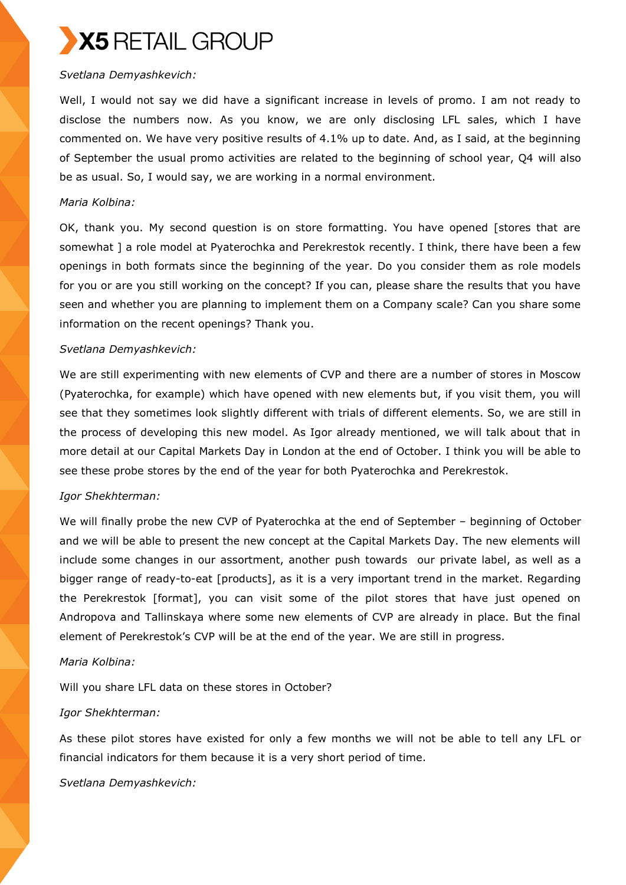## *Svetlana Demyashkevich:*

Well, I would not say we did have a significant increase in levels of promo. I am not ready to disclose the numbers now. As you know, we are only disclosing LFL sales, which I have commented on. We have very positive results of 4.1% up to date. And, as I said, at the beginning of September the usual promo activities are related to the beginning of school year, Q4 will also be as usual. So, I would say, we are working in a normal environment.

## *Maria Kolbina:*

OK, thank you. My second question is on store formatting. You have opened [stores that are somewhat ] a role model at Pyaterochka and Perekrestok recently. I think, there have been a few openings in both formats since the beginning of the year. Do you consider them as role models for you or are you still working on the concept? If you can, please share the results that you have seen and whether you are planning to implement them on a Company scale? Can you share some information on the recent openings? Thank you.

## *Svetlana Demyashkevich:*

We are still experimenting with new elements of CVP and there are a number of stores in Moscow (Pyaterochka, for example) which have opened with new elements but, if you visit them, you will see that they sometimes look slightly different with trials of different elements. So, we are still in the process of developing this new model. As Igor already mentioned, we will talk about that in more detail at our Capital Markets Day in London at the end of October. I think you will be able to see these probe stores by the end of the year for both Pyaterochka and Perekrestok.

## *Igor Shekhterman:*

We will finally probe the new CVP of Pyaterochka at the end of September – beginning of October and we will be able to present the new concept at the Capital Markets Day. The new elements will include some changes in our assortment, another push towards our private label, as well as a bigger range of ready-to-eat [products], as it is a very important trend in the market. Regarding the Perekrestok [format], you can visit some of the pilot stores that have just opened on Andropova and Tallinskaya where some new elements of CVP are already in place. But the final element of Perekrestok's CVP will be at the end of the year. We are still in progress.

## *Maria Kolbina:*

Will you share LFL data on these stores in October?

## *Igor Shekhterman:*

As these pilot stores have existed for only a few months we will not be able to tell any LFL or financial indicators for them because it is a very short period of time.

*Svetlana Demyashkevich:*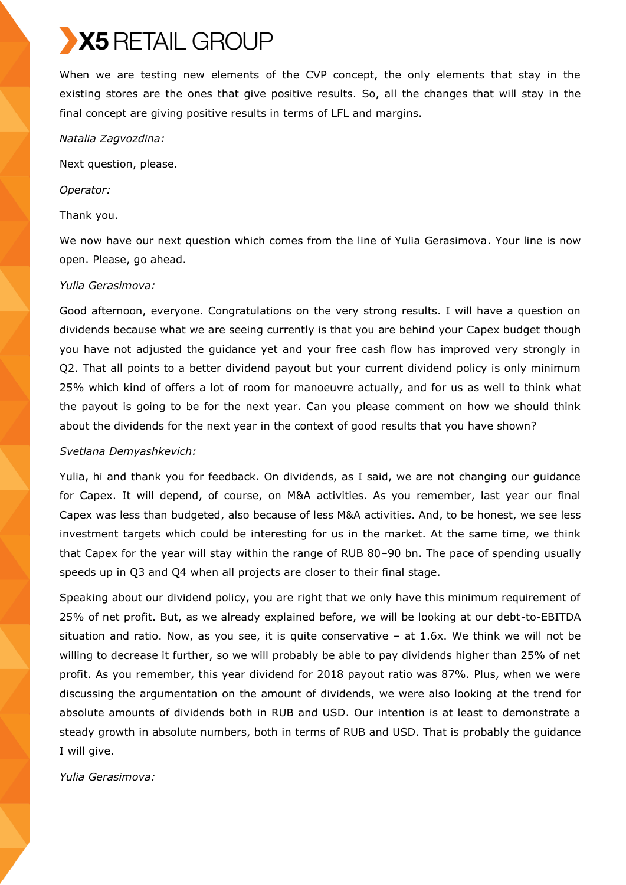When we are testing new elements of the CVP concept, the only elements that stay in the existing stores are the ones that give positive results. So, all the changes that will stay in the final concept are giving positive results in terms of LFL and margins.

#### *Natalia Zagvozdina:*

Next question, please.

*Operator:*

#### Thank you.

We now have our next question which comes from the line of Yulia Gerasimova. Your line is now open. Please, go ahead.

#### *Yulia Gerasimova:*

Good afternoon, everyone. Congratulations on the very strong results. I will have a question on dividends because what we are seeing currently is that you are behind your Capex budget though you have not adjusted the guidance yet and your free cash flow has improved very strongly in Q2. That all points to a better dividend payout but your current dividend policy is only minimum 25% which kind of offers a lot of room for manoeuvre actually, and for us as well to think what the payout is going to be for the next year. Can you please comment on how we should think about the dividends for the next year in the context of good results that you have shown?

## *Svetlana Demyashkevich:*

Yulia, hi and thank you for feedback. On dividends, as I said, we are not changing our guidance for Capex. It will depend, of course, on M&A activities. As you remember, last year our final Capex was less than budgeted, also because of less M&A activities. And, to be honest, we see less investment targets which could be interesting for us in the market. At the same time, we think that Capex for the year will stay within the range of RUB 80–90 bn. The pace of spending usually speeds up in Q3 and Q4 when all projects are closer to their final stage.

Speaking about our dividend policy, you are right that we only have this minimum requirement of 25% of net profit. But, as we already explained before, we will be looking at our debt-to-EBITDA situation and ratio. Now, as you see, it is quite conservative – at 1.6x. We think we will not be willing to decrease it further, so we will probably be able to pay dividends higher than 25% of net profit. As you remember, this year dividend for 2018 payout ratio was 87%. Plus, when we were discussing the argumentation on the amount of dividends, we were also looking at the trend for absolute amounts of dividends both in RUB and USD. Our intention is at least to demonstrate a steady growth in absolute numbers, both in terms of RUB and USD. That is probably the guidance I will give.

*Yulia Gerasimova:*